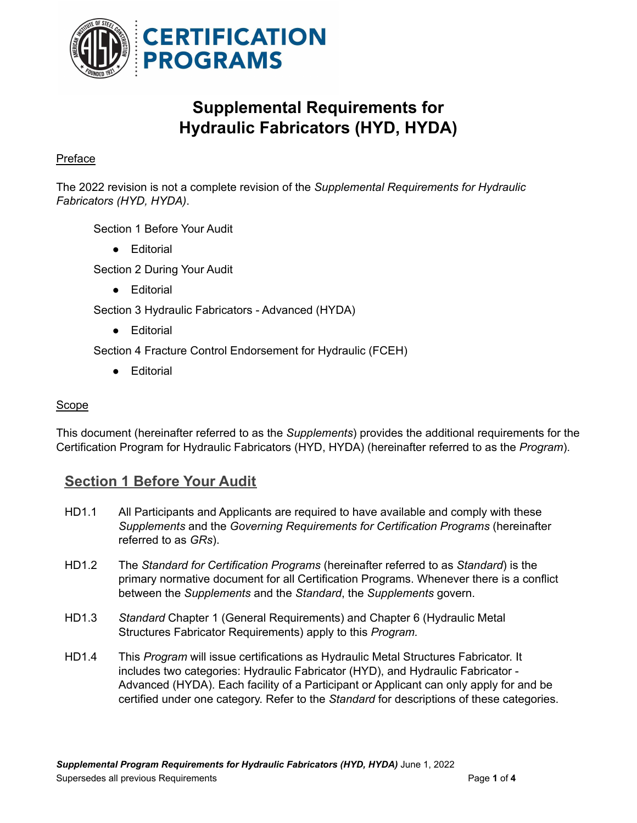

# **Supplemental Requirements for Hydraulic Fabricators (HYD, HYDA)**

### Preface

The 2022 revision is not a complete revision of the *Supplemental Requirements for Hydraulic Fabricators (HYD, HYDA)*.

Section 1 Before Your Audit

● Editorial

Section 2 During Your Audit

● Editorial

Section 3 Hydraulic Fabricators - Advanced (HYDA)

● Editorial

Section 4 Fracture Control Endorsement for Hydraulic (FCEH)

● Editorial

#### **Scope**

This document (hereinafter referred to as the *Supplements*) provides the additional requirements for the Certification Program for Hydraulic Fabricators (HYD, HYDA) (hereinafter referred to as the *Program*).

## **Section 1 Before Your Audit**

- HD1.1 All Participants and Applicants are required to have available and comply with these *Supplements* and the *Governing Requirements for Certification Programs* (hereinafter referred to as *GRs*).
- HD1.2 The *Standard for Certification Programs* (hereinafter referred to as *Standard*) is the primary normative document for all Certification Programs. Whenever there is a conflict between the *Supplements* and the *Standard*, the *Supplements* govern.
- HD1.3 *Standard* Chapter 1 (General Requirements) and Chapter 6 (Hydraulic Metal Structures Fabricator Requirements) apply to this *Program.*
- HD1.4 This *Program* will issue certifications as Hydraulic Metal Structures Fabricator. It includes two categories: Hydraulic Fabricator (HYD), and Hydraulic Fabricator - Advanced (HYDA). Each facility of a Participant or Applicant can only apply for and be certified under one category. Refer to the *Standard* for descriptions of these categories.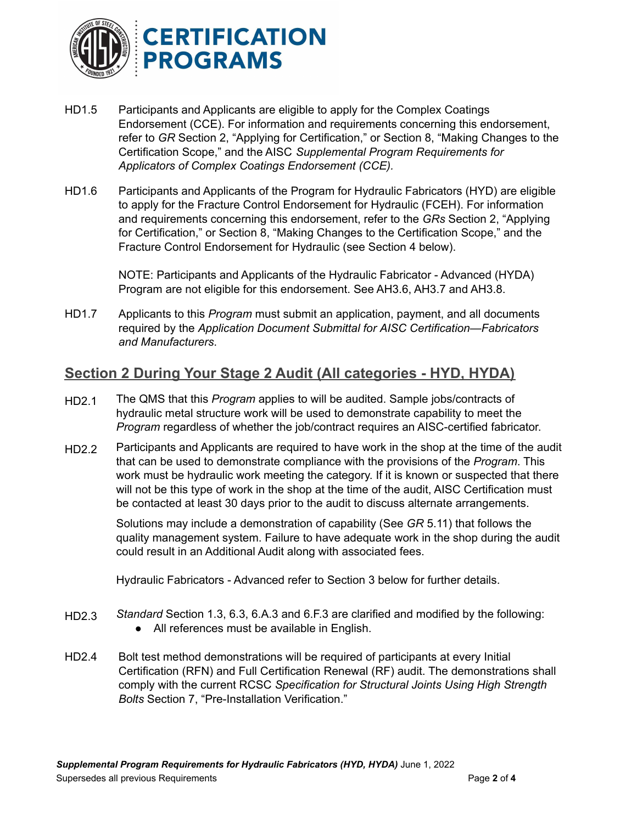

- HD1.5 Participants and Applicants are eligible to apply for the Complex Coatings Endorsement (CCE). For information and requirements concerning this endorsement, refer to *GR* Section 2, "Applying for Certification," or Section 8, "Making Changes to the Certification Scope," and the AISC *Supplemental Program Requirements for Applicators of Complex Coatings Endorsement (CCE).*
- HD1.6 Participants and Applicants of the Program for Hydraulic Fabricators (HYD) are eligible to apply for the Fracture Control Endorsement for Hydraulic (FCEH). For information and requirements concerning this endorsement, refer to the *GRs* Section 2, "Applying for Certification," or Section 8, "Making Changes to the Certification Scope," and the Fracture Control Endorsement for Hydraulic (see Section 4 below).

NOTE: Participants and Applicants of the Hydraulic Fabricator - Advanced (HYDA) Program are not eligible for this endorsement. See AH3.6, AH3.7 and AH3.8.

HD1.7 Applicants to this *Program* must submit an application, payment, and all documents required by the *Application Document Submittal for AISC Certification—Fabricators and Manufacturers*.

## **Section 2 During Your Stage 2 Audit (All categories - HYD, HYDA)**

- HD2.1 The QMS that this *Program* applies to will be audited. Sample jobs/contracts of hydraulic metal structure work will be used to demonstrate capability to meet the *Program* regardless of whether the job/contract requires an AISC-certified fabricator.
- HD2.2 Participants and Applicants are required to have work in the shop at the time of the audit that can be used to demonstrate compliance with the provisions of the *Program*. This work must be hydraulic work meeting the category. If it is known or suspected that there will not be this type of work in the shop at the time of the audit, AISC Certification must be contacted at least 30 days prior to the audit to discuss alternate arrangements.

Solutions may include a demonstration of capability (See *GR* 5.11) that follows the quality management system. Failure to have adequate work in the shop during the audit could result in an Additional Audit along with associated fees.

Hydraulic Fabricators - Advanced refer to Section 3 below for further details.

- HD2.3 *Standard* Section 1.3, 6.3, 6.A.3 and 6.F.3 are clarified and modified by the following: ● All references must be available in English.
- HD2.4 Bolt test method demonstrations will be required of participants at every Initial Certification (RFN) and Full Certification Renewal (RF) audit. The demonstrations shall comply with the current RCSC *Specification for Structural Joints Using High Strength Bolts* Section 7, "Pre-Installation Verification."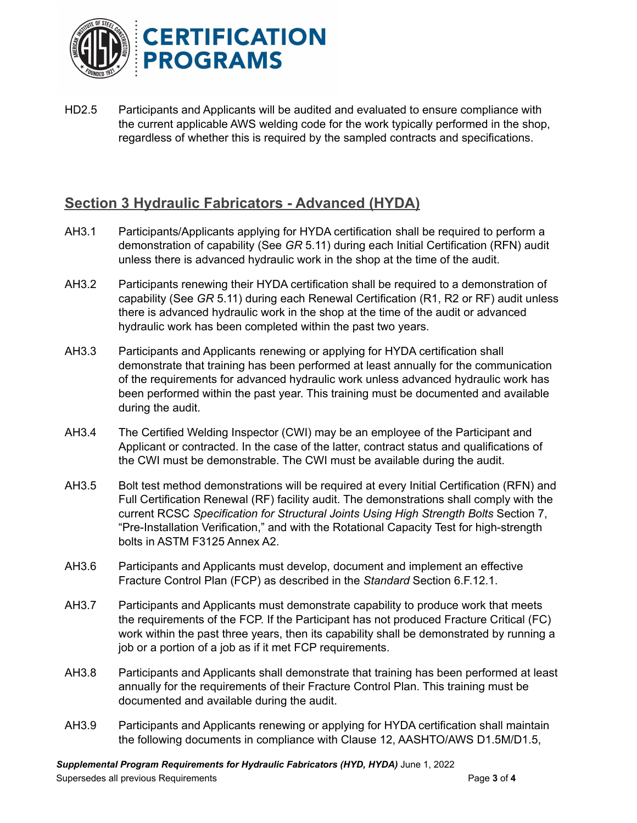

HD2.5 Participants and Applicants will be audited and evaluated to ensure compliance with the current applicable AWS welding code for the work typically performed in the shop, regardless of whether this is required by the sampled contracts and specifications.

## **Section 3 Hydraulic Fabricators - Advanced (HYDA)**

- AH3.1 Participants/Applicants applying for HYDA certification shall be required to perform a demonstration of capability (See *GR* 5.11) during each Initial Certification (RFN) audit unless there is advanced hydraulic work in the shop at the time of the audit.
- AH3.2 Participants renewing their HYDA certification shall be required to a demonstration of capability (See *GR* 5.11) during each Renewal Certification (R1, R2 or RF) audit unless there is advanced hydraulic work in the shop at the time of the audit or advanced hydraulic work has been completed within the past two years.
- AH3.3 Participants and Applicants renewing or applying for HYDA certification shall demonstrate that training has been performed at least annually for the communication of the requirements for advanced hydraulic work unless advanced hydraulic work has been performed within the past year. This training must be documented and available during the audit.
- AH3.4 The Certified Welding Inspector (CWI) may be an employee of the Participant and Applicant or contracted. In the case of the latter, contract status and qualifications of the CWI must be demonstrable. The CWI must be available during the audit.
- AH3.5 Bolt test method demonstrations will be required at every Initial Certification (RFN) and Full Certification Renewal (RF) facility audit. The demonstrations shall comply with the current RCSC *Specification for Structural Joints Using High Strength Bolts* Section 7, "Pre-Installation Verification," and with the Rotational Capacity Test for high-strength bolts in ASTM F3125 Annex A2.
- AH3.6 Participants and Applicants must develop, document and implement an effective Fracture Control Plan (FCP) as described in the *Standard* Section 6.F.12.1.
- AH3.7 Participants and Applicants must demonstrate capability to produce work that meets the requirements of the FCP. If the Participant has not produced Fracture Critical (FC) work within the past three years, then its capability shall be demonstrated by running a job or a portion of a job as if it met FCP requirements.
- AH3.8 Participants and Applicants shall demonstrate that training has been performed at least annually for the requirements of their Fracture Control Plan. This training must be documented and available during the audit.
- AH3.9 Participants and Applicants renewing or applying for HYDA certification shall maintain the following documents in compliance with Clause 12, AASHTO/AWS D1.5M/D1.5,